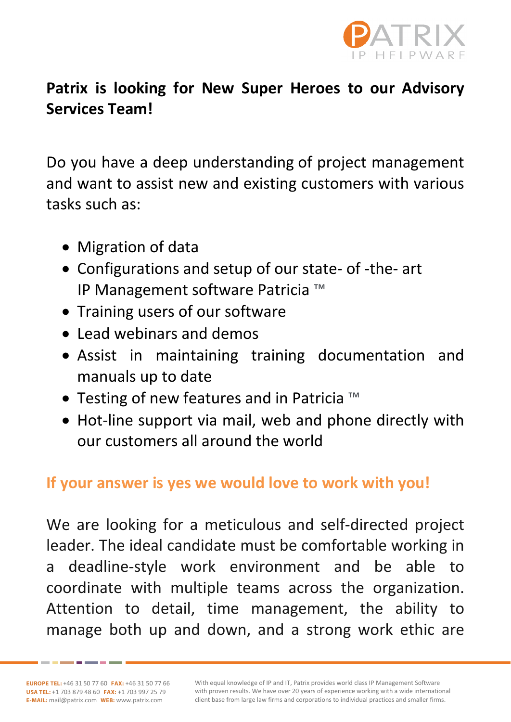

## **Patrix is looking for New Super Heroes to our Advisory Services Team!**

Do you have a deep understanding of project management and want to assist new and existing customers with various tasks such as:

- Migration of data
- Configurations and setup of our state- of -the- art IP Management software Patricia ™
- Training users of our software
- Lead webinars and demos
- Assist in maintaining training documentation and manuals up to date
- Testing of new features and in Patricia ™
- Hot-line support via mail, web and phone directly with our customers all around the world

## **If your answer is yes we would love to work with you!**

We are looking for a meticulous and self-directed project leader. The ideal candidate must be comfortable working in a deadline-style work environment and be able to coordinate with multiple teams across the organization. Attention to detail, time management, the ability to manage both up and down, and a strong work ethic are